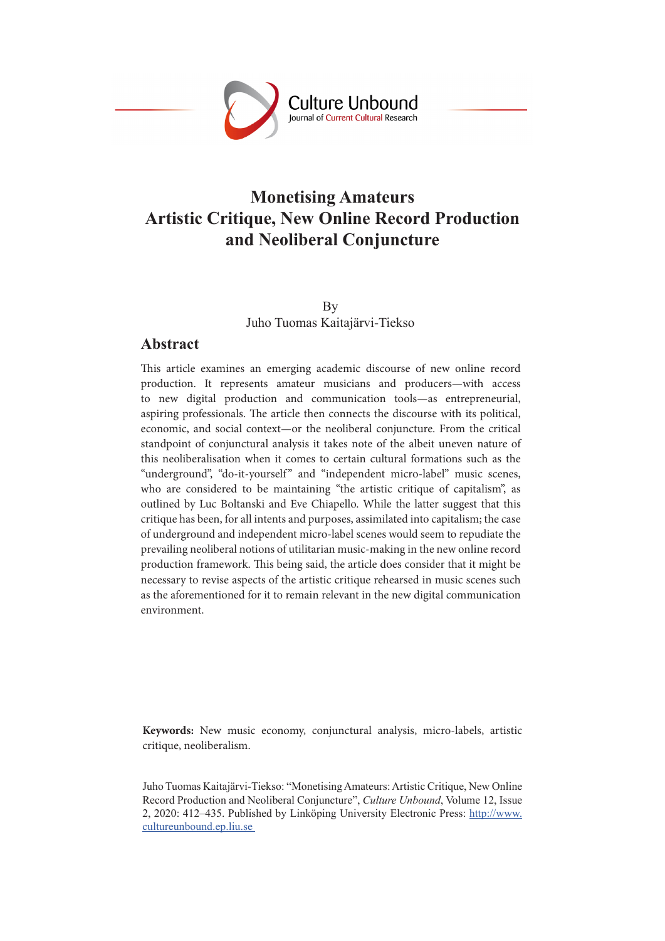

# **Monetising Amateurs Artistic Critique, New Online Record Production and Neoliberal Conjuncture**

By Juho Tuomas Kaitajärvi-Tiekso

#### **Abstract**

This article examines an emerging academic discourse of new online record production. It represents amateur musicians and producers—with access to new digital production and communication tools—as entrepreneurial, aspiring professionals. The article then connects the discourse with its political, economic, and social context—or the neoliberal conjuncture. From the critical standpoint of conjunctural analysis it takes note of the albeit uneven nature of this neoliberalisation when it comes to certain cultural formations such as the "underground", "do-it-yourself" and "independent micro-label" music scenes, who are considered to be maintaining "the artistic critique of capitalism", as outlined by Luc Boltanski and Eve Chiapello. While the latter suggest that this critique has been, for all intents and purposes, assimilated into capitalism; the case of underground and independent micro-label scenes would seem to repudiate the prevailing neoliberal notions of utilitarian music-making in the new online record production framework. This being said, the article does consider that it might be necessary to revise aspects of the artistic critique rehearsed in music scenes such as the aforementioned for it to remain relevant in the new digital communication environment.

**Keywords:** New music economy, conjunctural analysis, micro-labels, artistic critique, neoliberalism.

Juho Tuomas Kaitajärvi-Tiekso: "Monetising Amateurs: Artistic Critique, New Online Record Production and Neoliberal Conjuncture", *Culture Unbound*, Volume 12, Issue 2, 2020: 412–435. Published by Linköping University Electronic Press: http://www. cultureunbound.ep.liu.se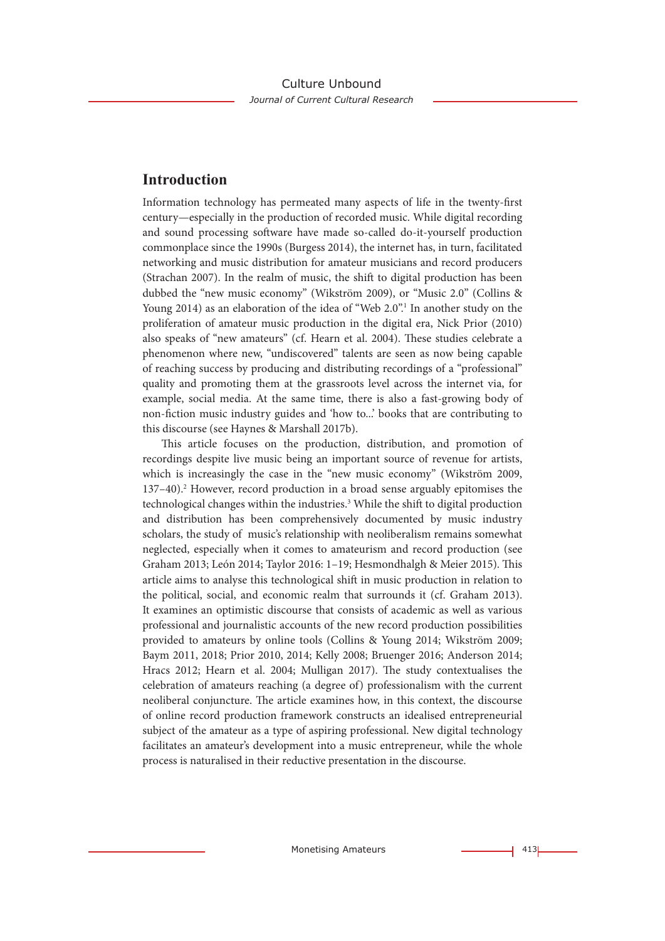## **Introduction**

Information technology has permeated many aspects of life in the twenty-first century—especially in the production of recorded music. While digital recording and sound processing software have made so-called do-it-yourself production commonplace since the 1990s (Burgess 2014), the internet has, in turn, facilitated networking and music distribution for amateur musicians and record producers (Strachan 2007). In the realm of music, the shift to digital production has been dubbed the "new music economy" (Wikström 2009), or "Music 2.0" (Collins & Young 2014) as an elaboration of the idea of "Web 2.0".<sup>1</sup> In another study on the proliferation of amateur music production in the digital era, Nick Prior (2010) also speaks of "new amateurs" (cf. Hearn et al. 2004). These studies celebrate a phenomenon where new, "undiscovered" talents are seen as now being capable of reaching success by producing and distributing recordings of a "professional" quality and promoting them at the grassroots level across the internet via, for example, social media. At the same time, there is also a fast-growing body of non-fiction music industry guides and 'how to...' books that are contributing to this discourse (see Haynes & Marshall 2017b).

This article focuses on the production, distribution, and promotion of recordings despite live music being an important source of revenue for artists, which is increasingly the case in the "new music economy" (Wikström 2009, 137-40).<sup>2</sup> However, record production in a broad sense arguably epitomises the technological changes within the industries.<sup>3</sup> While the shift to digital production and distribution has been comprehensively documented by music industry scholars, the study of music's relationship with neoliberalism remains somewhat neglected, especially when it comes to amateurism and record production (see Graham 2013; León 2014; Taylor 2016: 1–19; Hesmondhalgh & Meier 2015). This article aims to analyse this technological shift in music production in relation to the political, social, and economic realm that surrounds it (cf. Graham 2013). It examines an optimistic discourse that consists of academic as well as various professional and journalistic accounts of the new record production possibilities provided to amateurs by online tools (Collins & Young 2014; Wikström 2009; Baym 2011, 2018; Prior 2010, 2014; Kelly 2008; Bruenger 2016; Anderson 2014; Hracs 2012; Hearn et al. 2004; Mulligan 2017). The study contextualises the celebration of amateurs reaching (a degree of) professionalism with the current neoliberal conjuncture. The article examines how, in this context, the discourse of online record production framework constructs an idealised entrepreneurial subject of the amateur as a type of aspiring professional. New digital technology facilitates an amateur's development into a music entrepreneur, while the whole process is naturalised in their reductive presentation in the discourse.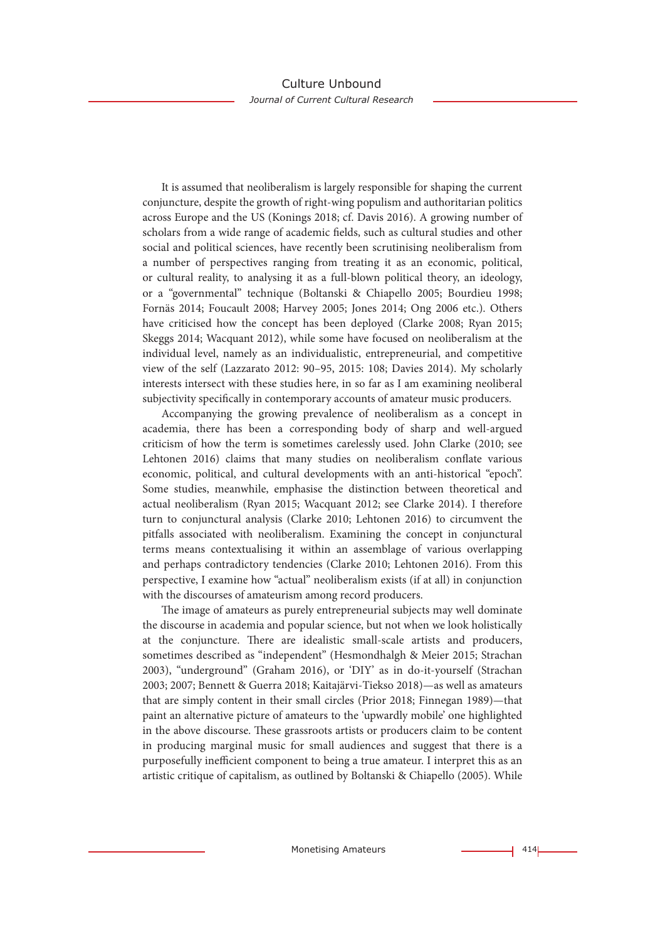It is assumed that neoliberalism is largely responsible for shaping the current conjuncture, despite the growth of right-wing populism and authoritarian politics across Europe and the US (Konings 2018; cf. Davis 2016). A growing number of scholars from a wide range of academic fields, such as cultural studies and other social and political sciences, have recently been scrutinising neoliberalism from a number of perspectives ranging from treating it as an economic, political, or cultural reality, to analysing it as a full-blown political theory, an ideology, or a "governmental" technique (Boltanski & Chiapello 2005; Bourdieu 1998; Fornäs 2014; Foucault 2008; Harvey 2005; Jones 2014; Ong 2006 etc.). Others have criticised how the concept has been deployed (Clarke 2008; Ryan 2015; Skeggs 2014; Wacquant 2012), while some have focused on neoliberalism at the individual level, namely as an individualistic, entrepreneurial, and competitive view of the self (Lazzarato 2012: 90–95, 2015: 108; Davies 2014). My scholarly interests intersect with these studies here, in so far as I am examining neoliberal subjectivity specifically in contemporary accounts of amateur music producers.

Accompanying the growing prevalence of neoliberalism as a concept in academia, there has been a corresponding body of sharp and well-argued criticism of how the term is sometimes carelessly used. John Clarke (2010; see Lehtonen 2016) claims that many studies on neoliberalism conflate various economic, political, and cultural developments with an anti-historical "epoch". Some studies, meanwhile, emphasise the distinction between theoretical and actual neoliberalism (Ryan 2015; Wacquant 2012; see Clarke 2014). I therefore turn to conjunctural analysis (Clarke 2010; Lehtonen 2016) to circumvent the pitfalls associated with neoliberalism. Examining the concept in conjunctural terms means contextualising it within an assemblage of various overlapping and perhaps contradictory tendencies (Clarke 2010; Lehtonen 2016). From this perspective, I examine how "actual" neoliberalism exists (if at all) in conjunction with the discourses of amateurism among record producers.

The image of amateurs as purely entrepreneurial subjects may well dominate the discourse in academia and popular science, but not when we look holistically at the conjuncture. There are idealistic small-scale artists and producers, sometimes described as "independent" (Hesmondhalgh & Meier 2015; Strachan 2003), "underground" (Graham 2016), or 'DIY' as in do-it-yourself (Strachan 2003; 2007; Bennett & Guerra 2018; Kaitajärvi-Tiekso 2018)—as well as amateurs that are simply content in their small circles (Prior 2018; Finnegan 1989)—that paint an alternative picture of amateurs to the 'upwardly mobile' one highlighted in the above discourse. These grassroots artists or producers claim to be content in producing marginal music for small audiences and suggest that there is a purposefully inefficient component to being a true amateur. I interpret this as an artistic critique of capitalism, as outlined by Boltanski & Chiapello (2005). While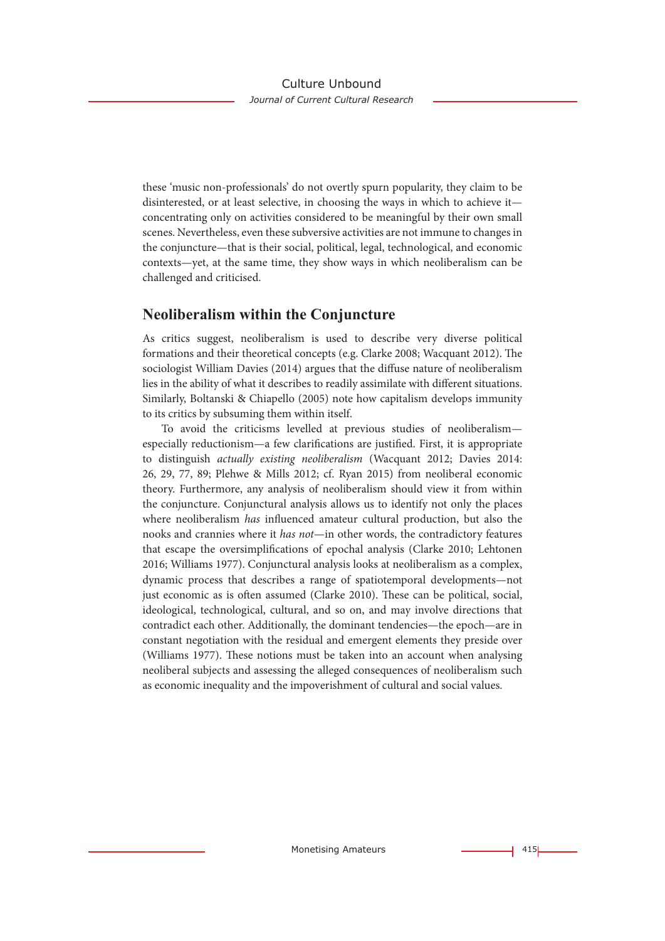these 'music non-professionals' do not overtly spurn popularity, they claim to be disinterested, or at least selective, in choosing the ways in which to achieve it concentrating only on activities considered to be meaningful by their own small scenes. Nevertheless, even these subversive activities are not immune to changes in the conjuncture—that is their social, political, legal, technological, and economic contexts—yet, at the same time, they show ways in which neoliberalism can be challenged and criticised.

### **Neoliberalism within the Conjuncture**

As critics suggest, neoliberalism is used to describe very diverse political formations and their theoretical concepts (e.g. Clarke 2008; Wacquant 2012). The sociologist William Davies (2014) argues that the diffuse nature of neoliberalism lies in the ability of what it describes to readily assimilate with different situations. Similarly, Boltanski & Chiapello (2005) note how capitalism develops immunity to its critics by subsuming them within itself.

To avoid the criticisms levelled at previous studies of neoliberalism especially reductionism—a few clarifications are justified. First, it is appropriate to distinguish *actually existing neoliberalism* (Wacquant 2012; Davies 2014: 26, 29, 77, 89; Plehwe & Mills 2012; cf. Ryan 2015) from neoliberal economic theory. Furthermore, any analysis of neoliberalism should view it from within the conjuncture. Conjunctural analysis allows us to identify not only the places where neoliberalism *has* influenced amateur cultural production, but also the nooks and crannies where it *has not*—in other words, the contradictory features that escape the oversimplifications of epochal analysis (Clarke 2010; Lehtonen 2016; Williams 1977). Conjunctural analysis looks at neoliberalism as a complex, dynamic process that describes a range of spatiotemporal developments—not just economic as is often assumed (Clarke 2010). These can be political, social, ideological, technological, cultural, and so on, and may involve directions that contradict each other. Additionally, the dominant tendencies—the epoch—are in constant negotiation with the residual and emergent elements they preside over (Williams 1977). These notions must be taken into an account when analysing neoliberal subjects and assessing the alleged consequences of neoliberalism such as economic inequality and the impoverishment of cultural and social values.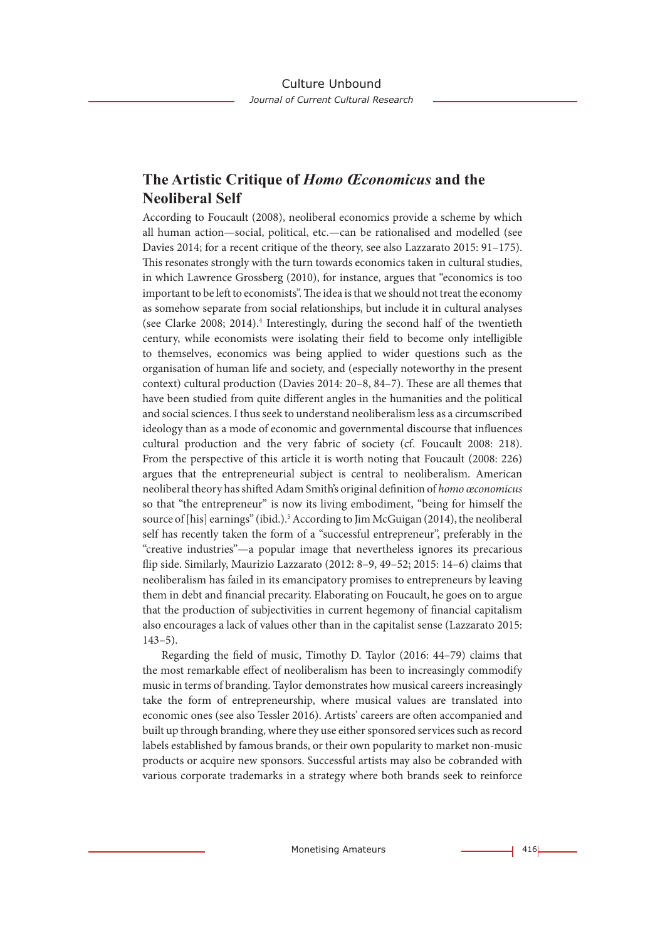## **The Artistic Critique of** *Homo Œconomicus* **and the Neoliberal Self**

According to Foucault (2008), neoliberal economics provide a scheme by which all human action—social, political, etc.—can be rationalised and modelled (see Davies 2014; for a recent critique of the theory, see also Lazzarato 2015: 91–175). This resonates strongly with the turn towards economics taken in cultural studies, in which Lawrence Grossberg (2010), for instance, argues that "economics is too important to be left to economists". The idea is that we should not treat the economy as somehow separate from social relationships, but include it in cultural analyses (see Clarke 2008; 2014).4 Interestingly, during the second half of the twentieth century, while economists were isolating their field to become only intelligible to themselves, economics was being applied to wider questions such as the organisation of human life and society, and (especially noteworthy in the present context) cultural production (Davies 2014: 20–8, 84–7). These are all themes that have been studied from quite different angles in the humanities and the political and social sciences. I thus seek to understand neoliberalism less as a circumscribed ideology than as a mode of economic and governmental discourse that influences cultural production and the very fabric of society (cf. Foucault 2008: 218). From the perspective of this article it is worth noting that Foucault (2008: 226) argues that the entrepreneurial subject is central to neoliberalism. American neoliberal theory has shifted Adam Smith's original definition of *homo œconomicus*  so that "the entrepreneur" is now its living embodiment, "being for himself the source of [his] earnings" (ibid.).<sup>5</sup> According to Jim McGuigan (2014), the neoliberal self has recently taken the form of a "successful entrepreneur", preferably in the "creative industries"—a popular image that nevertheless ignores its precarious flip side. Similarly, Maurizio Lazzarato (2012: 8–9, 49–52; 2015: 14–6) claims that neoliberalism has failed in its emancipatory promises to entrepreneurs by leaving them in debt and financial precarity. Elaborating on Foucault, he goes on to argue that the production of subjectivities in current hegemony of financial capitalism also encourages a lack of values other than in the capitalist sense (Lazzarato 2015:  $143-5$ ).

Regarding the field of music, Timothy D. Taylor (2016: 44–79) claims that the most remarkable effect of neoliberalism has been to increasingly commodify music in terms of branding. Taylor demonstrates how musical careers increasingly take the form of entrepreneurship, where musical values are translated into economic ones (see also Tessler 2016). Artists' careers are often accompanied and built up through branding, where they use either sponsored services such as record labels established by famous brands, or their own popularity to market non-music products or acquire new sponsors. Successful artists may also be cobranded with various corporate trademarks in a strategy where both brands seek to reinforce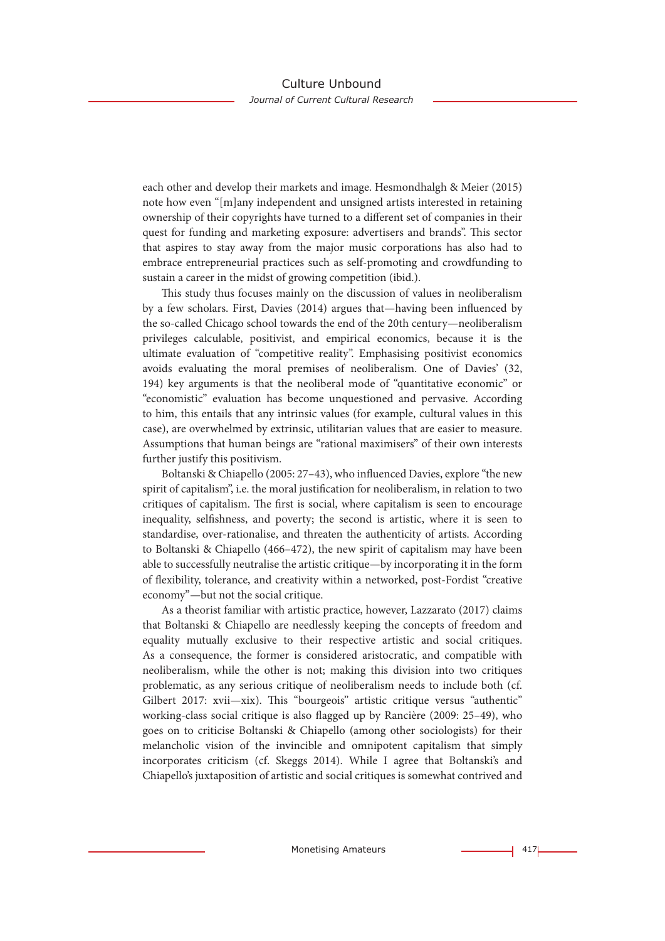each other and develop their markets and image. Hesmondhalgh & Meier (2015) note how even "[m]any independent and unsigned artists interested in retaining ownership of their copyrights have turned to a different set of companies in their quest for funding and marketing exposure: advertisers and brands". This sector that aspires to stay away from the major music corporations has also had to embrace entrepreneurial practices such as self-promoting and crowdfunding to sustain a career in the midst of growing competition (ibid.).

This study thus focuses mainly on the discussion of values in neoliberalism by a few scholars. First, Davies (2014) argues that—having been influenced by the so-called Chicago school towards the end of the 20th century—neoliberalism privileges calculable, positivist, and empirical economics, because it is the ultimate evaluation of "competitive reality". Emphasising positivist economics avoids evaluating the moral premises of neoliberalism. One of Davies' (32, 194) key arguments is that the neoliberal mode of "quantitative economic" or "economistic" evaluation has become unquestioned and pervasive. According to him, this entails that any intrinsic values (for example, cultural values in this case), are overwhelmed by extrinsic, utilitarian values that are easier to measure. Assumptions that human beings are "rational maximisers" of their own interests further justify this positivism.

Boltanski & Chiapello (2005: 27–43), who influenced Davies, explore "the new spirit of capitalism", i.e. the moral justification for neoliberalism, in relation to two critiques of capitalism. The first is social, where capitalism is seen to encourage inequality, selfishness, and poverty; the second is artistic, where it is seen to standardise, over-rationalise, and threaten the authenticity of artists. According to Boltanski & Chiapello (466–472), the new spirit of capitalism may have been able to successfully neutralise the artistic critique—by incorporating it in the form of flexibility, tolerance, and creativity within a networked, post-Fordist "creative economy"—but not the social critique.

As a theorist familiar with artistic practice, however, Lazzarato (2017) claims that Boltanski & Chiapello are needlessly keeping the concepts of freedom and equality mutually exclusive to their respective artistic and social critiques. As a consequence, the former is considered aristocratic, and compatible with neoliberalism, while the other is not; making this division into two critiques problematic, as any serious critique of neoliberalism needs to include both (cf. Gilbert 2017: xvii—xix). This "bourgeois" artistic critique versus "authentic" working-class social critique is also flagged up by Rancière (2009: 25–49), who goes on to criticise Boltanski & Chiapello (among other sociologists) for their melancholic vision of the invincible and omnipotent capitalism that simply incorporates criticism (cf. Skeggs 2014). While I agree that Boltanski's and Chiapello's juxtaposition of artistic and social critiques is somewhat contrived and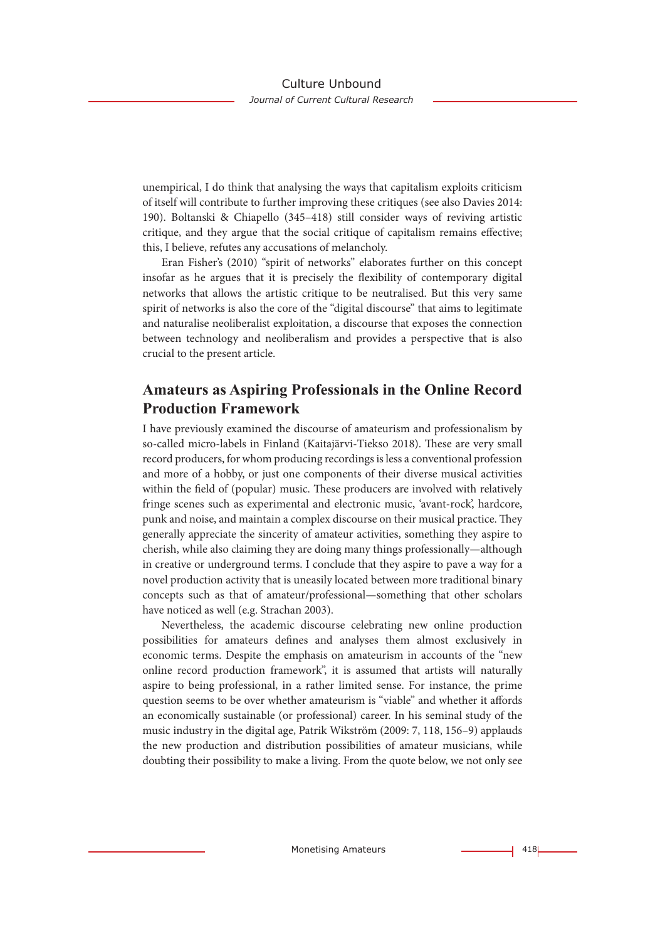unempirical, I do think that analysing the ways that capitalism exploits criticism of itself will contribute to further improving these critiques (see also Davies 2014: 190). Boltanski & Chiapello (345–418) still consider ways of reviving artistic critique, and they argue that the social critique of capitalism remains effective; this, I believe, refutes any accusations of melancholy.

Eran Fisher's (2010) "spirit of networks" elaborates further on this concept insofar as he argues that it is precisely the flexibility of contemporary digital networks that allows the artistic critique to be neutralised. But this very same spirit of networks is also the core of the "digital discourse" that aims to legitimate and naturalise neoliberalist exploitation, a discourse that exposes the connection between technology and neoliberalism and provides a perspective that is also crucial to the present article.

## **Amateurs as Aspiring Professionals in the Online Record Production Framework**

I have previously examined the discourse of amateurism and professionalism by so-called micro-labels in Finland (Kaitajärvi-Tiekso 2018). These are very small record producers, for whom producing recordings is less a conventional profession and more of a hobby, or just one components of their diverse musical activities within the field of (popular) music. These producers are involved with relatively fringe scenes such as experimental and electronic music, 'avant-rock', hardcore, punk and noise, and maintain a complex discourse on their musical practice. They generally appreciate the sincerity of amateur activities, something they aspire to cherish, while also claiming they are doing many things professionally—although in creative or underground terms. I conclude that they aspire to pave a way for a novel production activity that is uneasily located between more traditional binary concepts such as that of amateur/professional—something that other scholars have noticed as well (e.g. Strachan 2003).

Nevertheless, the academic discourse celebrating new online production possibilities for amateurs defines and analyses them almost exclusively in economic terms. Despite the emphasis on amateurism in accounts of the "new online record production framework", it is assumed that artists will naturally aspire to being professional, in a rather limited sense. For instance, the prime question seems to be over whether amateurism is "viable" and whether it affords an economically sustainable (or professional) career. In his seminal study of the music industry in the digital age, Patrik Wikström (2009: 7, 118, 156–9) applauds the new production and distribution possibilities of amateur musicians, while doubting their possibility to make a living. From the quote below, we not only see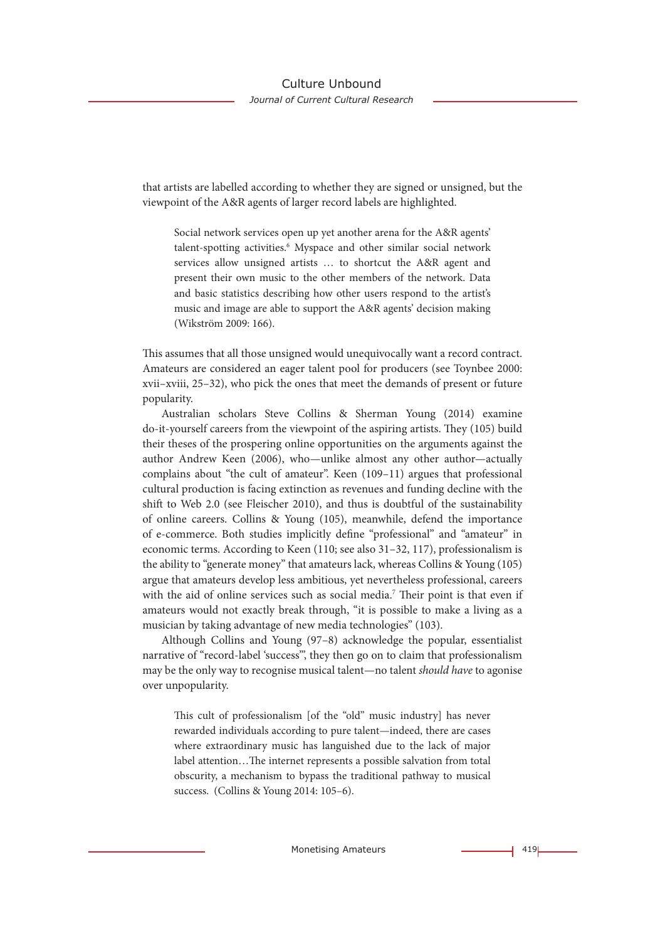that artists are labelled according to whether they are signed or unsigned, but the viewpoint of the A&R agents of larger record labels are highlighted.

Social network services open up yet another arena for the A&R agents' talent-spotting activities.<sup>6</sup> Myspace and other similar social network services allow unsigned artists … to shortcut the A&R agent and present their own music to the other members of the network. Data and basic statistics describing how other users respond to the artist's music and image are able to support the A&R agents' decision making (Wikström 2009: 166).

This assumes that all those unsigned would unequivocally want a record contract. Amateurs are considered an eager talent pool for producers (see Toynbee 2000: xvii–xviii, 25–32), who pick the ones that meet the demands of present or future popularity.

Australian scholars Steve Collins & Sherman Young (2014) examine do-it-yourself careers from the viewpoint of the aspiring artists. They (105) build their theses of the prospering online opportunities on the arguments against the author Andrew Keen (2006), who—unlike almost any other author—actually complains about "the cult of amateur". Keen (109–11) argues that professional cultural production is facing extinction as revenues and funding decline with the shift to Web 2.0 (see Fleischer 2010), and thus is doubtful of the sustainability of online careers. Collins & Young (105), meanwhile, defend the importance of e-commerce. Both studies implicitly define "professional" and "amateur" in economic terms. According to Keen (110; see also 31–32, 117), professionalism is the ability to "generate money" that amateurs lack, whereas Collins & Young (105) argue that amateurs develop less ambitious, yet nevertheless professional, careers with the aid of online services such as social media.<sup>7</sup> Their point is that even if amateurs would not exactly break through, "it is possible to make a living as a musician by taking advantage of new media technologies" (103).

Although Collins and Young (97–8) acknowledge the popular, essentialist narrative of "record-label 'success'", they then go on to claim that professionalism may be the only way to recognise musical talent—no talent *should have* to agonise over unpopularity.

This cult of professionalism [of the "old" music industry] has never rewarded individuals according to pure talent—indeed, there are cases where extraordinary music has languished due to the lack of major label attention…The internet represents a possible salvation from total obscurity, a mechanism to bypass the traditional pathway to musical success. (Collins & Young 2014: 105–6).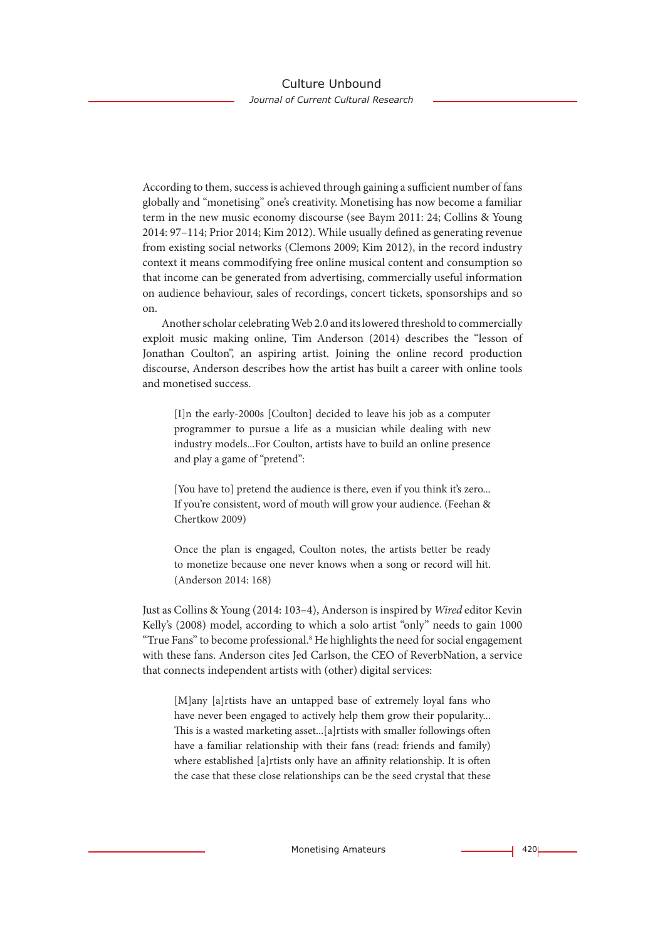According to them, success is achieved through gaining a sufficient number of fans globally and "monetising" one's creativity. Monetising has now become a familiar term in the new music economy discourse (see Baym 2011: 24; Collins & Young 2014: 97–114; Prior 2014; Kim 2012). While usually defined as generating revenue from existing social networks (Clemons 2009; Kim 2012), in the record industry context it means commodifying free online musical content and consumption so that income can be generated from advertising, commercially useful information on audience behaviour, sales of recordings, concert tickets, sponsorships and so on.

Another scholar celebrating Web 2.0 and its lowered threshold to commercially exploit music making online, Tim Anderson (2014) describes the "lesson of Jonathan Coulton", an aspiring artist. Joining the online record production discourse, Anderson describes how the artist has built a career with online tools and monetised success.

[I]n the early-2000s [Coulton] decided to leave his job as a computer programmer to pursue a life as a musician while dealing with new industry models...For Coulton, artists have to build an online presence and play a game of "pretend":

[You have to] pretend the audience is there, even if you think it's zero... If you're consistent, word of mouth will grow your audience. (Feehan & Chertkow 2009)

Once the plan is engaged, Coulton notes, the artists better be ready to monetize because one never knows when a song or record will hit. (Anderson 2014: 168)

Just as Collins & Young (2014: 103–4), Anderson is inspired by *Wired* editor Kevin Kelly's (2008) model, according to which a solo artist "only" needs to gain 1000 "True Fans" to become professional.<sup>8</sup> He highlights the need for social engagement with these fans. Anderson cites Jed Carlson, the CEO of ReverbNation, a service that connects independent artists with (other) digital services:

[M]any [a]rtists have an untapped base of extremely loyal fans who have never been engaged to actively help them grow their popularity... This is a wasted marketing asset...[a]rtists with smaller followings often have a familiar relationship with their fans (read: friends and family) where established [a]rtists only have an affinity relationship. It is often the case that these close relationships can be the seed crystal that these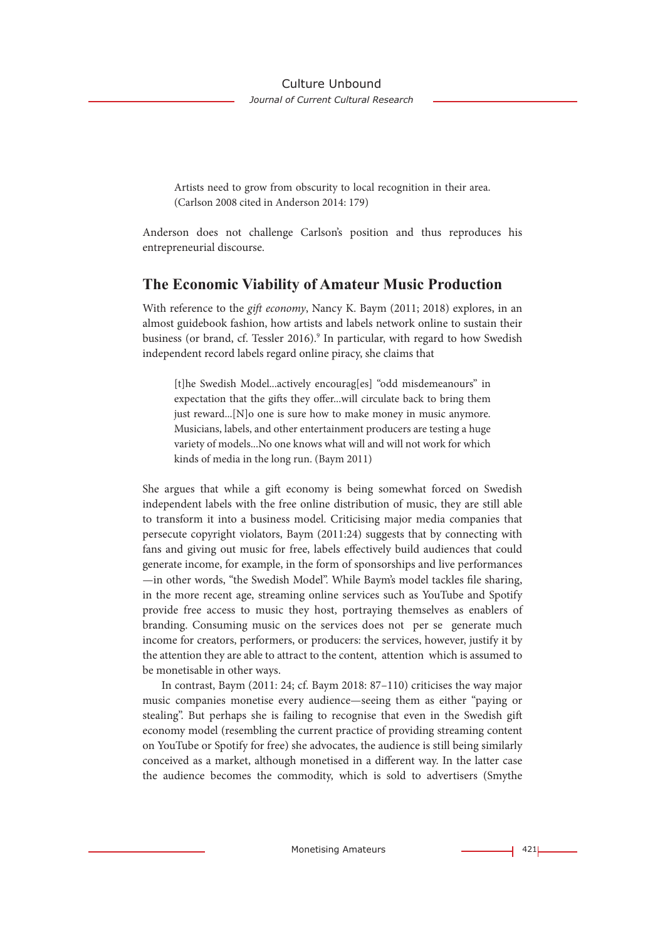Artists need to grow from obscurity to local recognition in their area. (Carlson 2008 cited in Anderson 2014: 179)

Anderson does not challenge Carlson's position and thus reproduces his entrepreneurial discourse.

### **The Economic Viability of Amateur Music Production**

With reference to the *gift economy*, Nancy K. Baym (2011; 2018) explores, in an almost guidebook fashion, how artists and labels network online to sustain their business (or brand, cf. Tessler 2016).<sup>9</sup> In particular, with regard to how Swedish independent record labels regard online piracy, she claims that

[t]he Swedish Model...actively encourag[es] "odd misdemeanours" in expectation that the gifts they offer...will circulate back to bring them just reward...[N]o one is sure how to make money in music anymore. Musicians, labels, and other entertainment producers are testing a huge variety of models...No one knows what will and will not work for which kinds of media in the long run. (Baym 2011)

She argues that while a gift economy is being somewhat forced on Swedish independent labels with the free online distribution of music, they are still able to transform it into a business model. Criticising major media companies that persecute copyright violators, Baym (2011:24) suggests that by connecting with fans and giving out music for free, labels effectively build audiences that could generate income, for example, in the form of sponsorships and live performances —in other words, "the Swedish Model". While Baym's model tackles file sharing, in the more recent age, streaming online services such as YouTube and Spotify provide free access to music they host, portraying themselves as enablers of branding. Consuming music on the services does not per se generate much income for creators, performers, or producers: the services, however, justify it by the attention they are able to attract to the content, attention which is assumed to be monetisable in other ways.

In contrast, Baym (2011: 24; cf. Baym 2018: 87–110) criticises the way major music companies monetise every audience—seeing them as either "paying or stealing". But perhaps she is failing to recognise that even in the Swedish gift economy model (resembling the current practice of providing streaming content on YouTube or Spotify for free) she advocates, the audience is still being similarly conceived as a market, although monetised in a different way. In the latter case the audience becomes the commodity, which is sold to advertisers (Smythe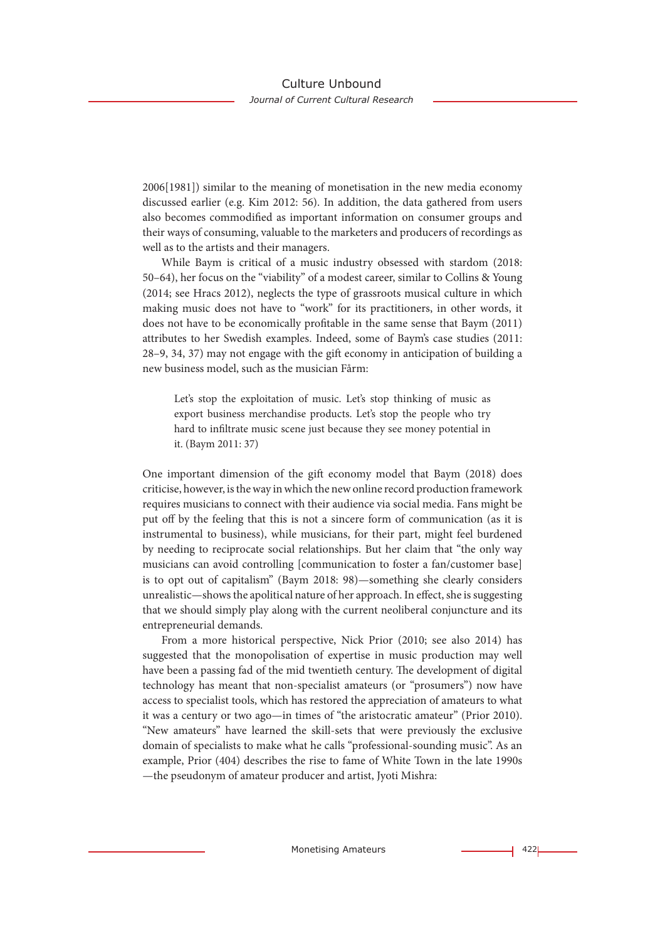2006[1981]) similar to the meaning of monetisation in the new media economy discussed earlier (e.g. Kim 2012: 56). In addition, the data gathered from users also becomes commodified as important information on consumer groups and their ways of consuming, valuable to the marketers and producers of recordings as well as to the artists and their managers.

While Baym is critical of a music industry obsessed with stardom (2018: 50–64), her focus on the "viability" of a modest career, similar to Collins & Young (2014; see Hracs 2012), neglects the type of grassroots musical culture in which making music does not have to "work" for its practitioners, in other words, it does not have to be economically profitable in the same sense that Baym (2011) attributes to her Swedish examples. Indeed, some of Baym's case studies (2011: 28–9, 34, 37) may not engage with the gift economy in anticipation of building a new business model, such as the musician Fårm:

Let's stop the exploitation of music. Let's stop thinking of music as export business merchandise products. Let's stop the people who try hard to infiltrate music scene just because they see money potential in it. (Baym 2011: 37)

One important dimension of the gift economy model that Baym (2018) does criticise, however, is the way in which the new online record production framework requires musicians to connect with their audience via social media. Fans might be put off by the feeling that this is not a sincere form of communication (as it is instrumental to business), while musicians, for their part, might feel burdened by needing to reciprocate social relationships. But her claim that "the only way musicians can avoid controlling [communication to foster a fan/customer base] is to opt out of capitalism" (Baym 2018: 98)—something she clearly considers unrealistic—shows the apolitical nature of her approach. In effect, she is suggesting that we should simply play along with the current neoliberal conjuncture and its entrepreneurial demands.

From a more historical perspective, Nick Prior (2010; see also 2014) has suggested that the monopolisation of expertise in music production may well have been a passing fad of the mid twentieth century. The development of digital technology has meant that non-specialist amateurs (or "prosumers") now have access to specialist tools, which has restored the appreciation of amateurs to what it was a century or two ago—in times of "the aristocratic amateur" (Prior 2010). "New amateurs" have learned the skill-sets that were previously the exclusive domain of specialists to make what he calls "professional-sounding music". As an example, Prior (404) describes the rise to fame of White Town in the late 1990s —the pseudonym of amateur producer and artist, Jyoti Mishra: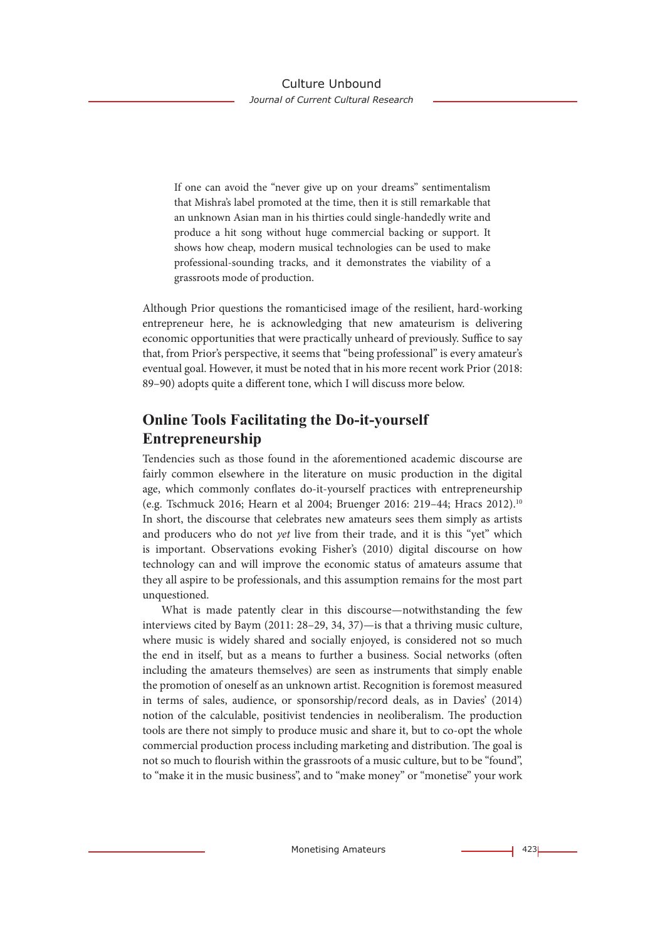If one can avoid the "never give up on your dreams" sentimentalism that Mishra's label promoted at the time, then it is still remarkable that an unknown Asian man in his thirties could single-handedly write and produce a hit song without huge commercial backing or support. It shows how cheap, modern musical technologies can be used to make professional-sounding tracks, and it demonstrates the viability of a grassroots mode of production.

Although Prior questions the romanticised image of the resilient, hard-working entrepreneur here, he is acknowledging that new amateurism is delivering economic opportunities that were practically unheard of previously. Suffice to say that, from Prior's perspective, it seems that "being professional" is every amateur's eventual goal. However, it must be noted that in his more recent work Prior (2018: 89–90) adopts quite a different tone, which I will discuss more below.

## **Online Tools Facilitating the Do-it-yourself Entrepreneurship**

Tendencies such as those found in the aforementioned academic discourse are fairly common elsewhere in the literature on music production in the digital age, which commonly conflates do-it-yourself practices with entrepreneurship (e.g. Tschmuck 2016; Hearn et al 2004; Bruenger 2016: 219–44; Hracs 2012).10 In short, the discourse that celebrates new amateurs sees them simply as artists and producers who do not *yet* live from their trade, and it is this "yet" which is important. Observations evoking Fisher's (2010) digital discourse on how technology can and will improve the economic status of amateurs assume that they all aspire to be professionals, and this assumption remains for the most part unquestioned.

What is made patently clear in this discourse—notwithstanding the few interviews cited by Baym (2011: 28–29, 34, 37)—is that a thriving music culture, where music is widely shared and socially enjoyed, is considered not so much the end in itself, but as a means to further a business. Social networks (often including the amateurs themselves) are seen as instruments that simply enable the promotion of oneself as an unknown artist. Recognition is foremost measured in terms of sales, audience, or sponsorship/record deals, as in Davies' (2014) notion of the calculable, positivist tendencies in neoliberalism. The production tools are there not simply to produce music and share it, but to co-opt the whole commercial production process including marketing and distribution. The goal is not so much to flourish within the grassroots of a music culture, but to be "found", to "make it in the music business", and to "make money" or "monetise" your work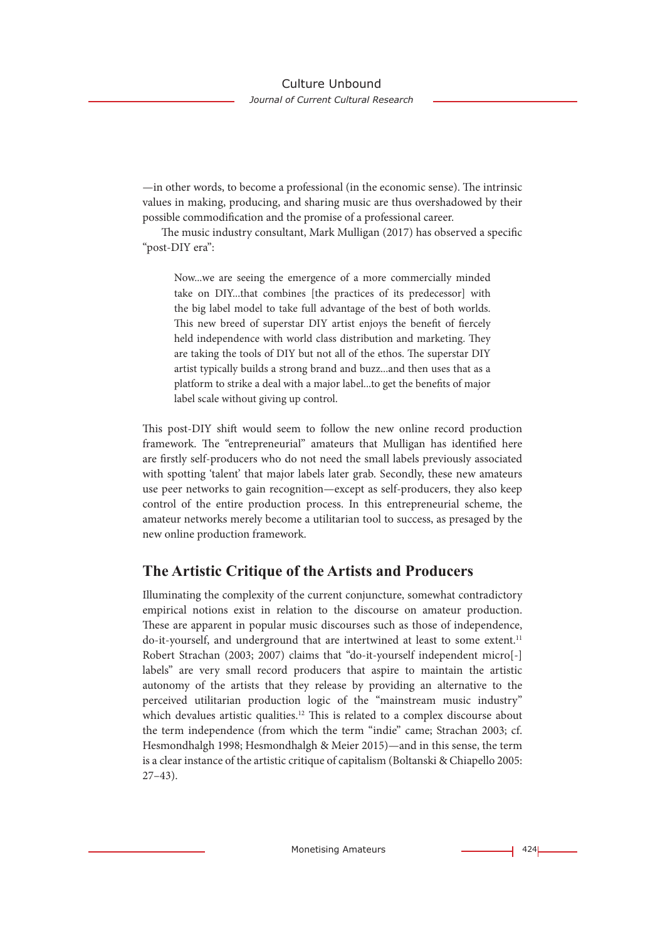—in other words, to become a professional (in the economic sense). The intrinsic values in making, producing, and sharing music are thus overshadowed by their possible commodification and the promise of a professional career.

The music industry consultant, Mark Mulligan (2017) has observed a specific "post-DIY era":

Now...we are seeing the emergence of a more commercially minded take on DIY...that combines [the practices of its predecessor] with the big label model to take full advantage of the best of both worlds. This new breed of superstar DIY artist enjoys the benefit of fiercely held independence with world class distribution and marketing. They are taking the tools of DIY but not all of the ethos. The superstar DIY artist typically builds a strong brand and buzz...and then uses that as a platform to strike a deal with a major label...to get the benefits of major label scale without giving up control.

This post-DIY shift would seem to follow the new online record production framework. The "entrepreneurial" amateurs that Mulligan has identified here are firstly self-producers who do not need the small labels previously associated with spotting 'talent' that major labels later grab. Secondly, these new amateurs use peer networks to gain recognition—except as self-producers, they also keep control of the entire production process. In this entrepreneurial scheme, the amateur networks merely become a utilitarian tool to success, as presaged by the new online production framework.

## **The Artistic Critique of the Artists and Producers**

Illuminating the complexity of the current conjuncture, somewhat contradictory empirical notions exist in relation to the discourse on amateur production. These are apparent in popular music discourses such as those of independence, do-it-yourself, and underground that are intertwined at least to some extent.<sup>11</sup> Robert Strachan (2003; 2007) claims that "do-it-yourself independent micro[-] labels" are very small record producers that aspire to maintain the artistic autonomy of the artists that they release by providing an alternative to the perceived utilitarian production logic of the "mainstream music industry" which devalues artistic qualities.<sup>12</sup> This is related to a complex discourse about the term independence (from which the term "indie" came; Strachan 2003; cf. Hesmondhalgh 1998; Hesmondhalgh & Meier 2015)—and in this sense, the term is a clear instance of the artistic critique of capitalism (Boltanski & Chiapello 2005: 27–43).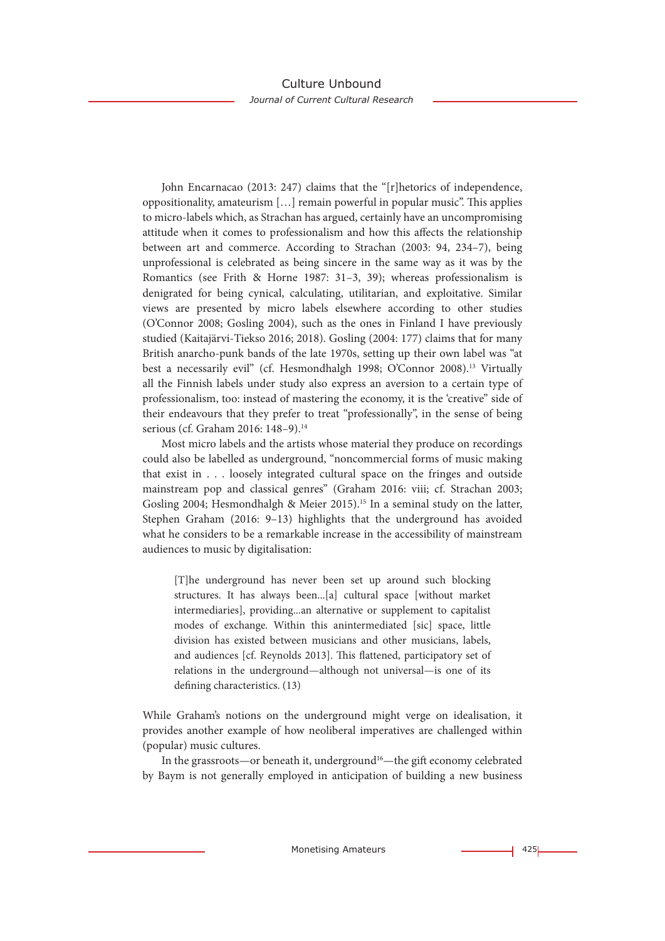John Encarnacao (2013: 247) claims that the "[r]hetorics of independence, oppositionality, amateurism […] remain powerful in popular music". This applies to micro-labels which, as Strachan has argued, certainly have an uncompromising attitude when it comes to professionalism and how this affects the relationship between art and commerce. According to Strachan (2003: 94, 234–7), being unprofessional is celebrated as being sincere in the same way as it was by the Romantics (see Frith & Horne 1987: 31–3, 39); whereas professionalism is denigrated for being cynical, calculating, utilitarian, and exploitative. Similar views are presented by micro labels elsewhere according to other studies (O'Connor 2008; Gosling 2004), such as the ones in Finland I have previously studied (Kaitajärvi-Tiekso 2016; 2018). Gosling (2004: 177) claims that for many British anarcho-punk bands of the late 1970s, setting up their own label was "at best a necessarily evil" (cf. Hesmondhalgh 1998; O'Connor 2008).<sup>13</sup> Virtually all the Finnish labels under study also express an aversion to a certain type of professionalism, too: instead of mastering the economy, it is the 'creative" side of their endeavours that they prefer to treat "professionally", in the sense of being serious (cf. Graham 2016: 148-9).<sup>14</sup>

Most micro labels and the artists whose material they produce on recordings could also be labelled as underground, "noncommercial forms of music making that exist in . . . loosely integrated cultural space on the fringes and outside mainstream pop and classical genres" (Graham 2016: viii; cf. Strachan 2003; Gosling 2004; Hesmondhalgh & Meier 2015).<sup>15</sup> In a seminal study on the latter, Stephen Graham (2016: 9–13) highlights that the underground has avoided what he considers to be a remarkable increase in the accessibility of mainstream audiences to music by digitalisation:

[T]he underground has never been set up around such blocking structures. It has always been...[a] cultural space [without market intermediaries], providing...an alternative or supplement to capitalist modes of exchange. Within this anintermediated [sic] space, little division has existed between musicians and other musicians, labels, and audiences [cf. Reynolds 2013]. This flattened, participatory set of relations in the underground—although not universal—is one of its defining characteristics. (13)

While Graham's notions on the underground might verge on idealisation, it provides another example of how neoliberal imperatives are challenged within (popular) music cultures.

In the grassroots—or beneath it, underground<sup>16</sup>—the gift economy celebrated by Baym is not generally employed in anticipation of building a new business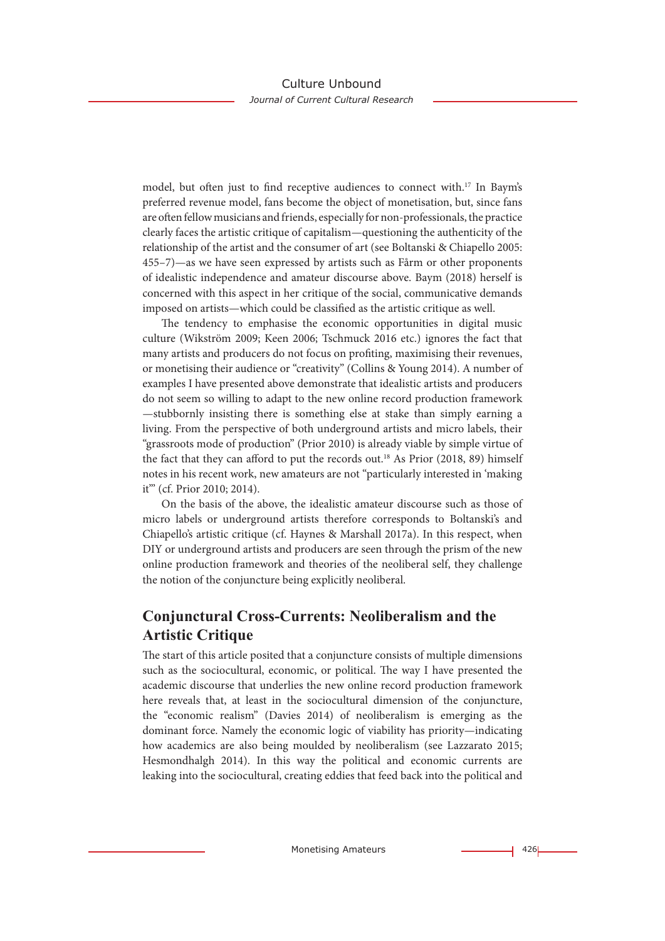model, but often just to find receptive audiences to connect with.17 In Baym's preferred revenue model, fans become the object of monetisation, but, since fans are often fellow musicians and friends, especially for non-professionals, the practice clearly faces the artistic critique of capitalism—questioning the authenticity of the relationship of the artist and the consumer of art (see Boltanski & Chiapello 2005: 455–7)—as we have seen expressed by artists such as Fårm or other proponents of idealistic independence and amateur discourse above. Baym (2018) herself is concerned with this aspect in her critique of the social, communicative demands imposed on artists—which could be classified as the artistic critique as well.

The tendency to emphasise the economic opportunities in digital music culture (Wikström 2009; Keen 2006; Tschmuck 2016 etc.) ignores the fact that many artists and producers do not focus on profiting, maximising their revenues, or monetising their audience or "creativity" (Collins & Young 2014). A number of examples I have presented above demonstrate that idealistic artists and producers do not seem so willing to adapt to the new online record production framework —stubbornly insisting there is something else at stake than simply earning a living. From the perspective of both underground artists and micro labels, their "grassroots mode of production" (Prior 2010) is already viable by simple virtue of the fact that they can afford to put the records out.<sup>18</sup> As Prior (2018, 89) himself notes in his recent work, new amateurs are not "particularly interested in 'making it'" (cf. Prior 2010; 2014).

On the basis of the above, the idealistic amateur discourse such as those of micro labels or underground artists therefore corresponds to Boltanski's and Chiapello's artistic critique (cf. Haynes & Marshall 2017a). In this respect, when DIY or underground artists and producers are seen through the prism of the new online production framework and theories of the neoliberal self, they challenge the notion of the conjuncture being explicitly neoliberal.

## **Conjunctural Cross-Currents: Neoliberalism and the Artistic Critique**

The start of this article posited that a conjuncture consists of multiple dimensions such as the sociocultural, economic, or political. The way I have presented the academic discourse that underlies the new online record production framework here reveals that, at least in the sociocultural dimension of the conjuncture, the "economic realism" (Davies 2014) of neoliberalism is emerging as the dominant force. Namely the economic logic of viability has priority—indicating how academics are also being moulded by neoliberalism (see Lazzarato 2015; Hesmondhalgh 2014). In this way the political and economic currents are leaking into the sociocultural, creating eddies that feed back into the political and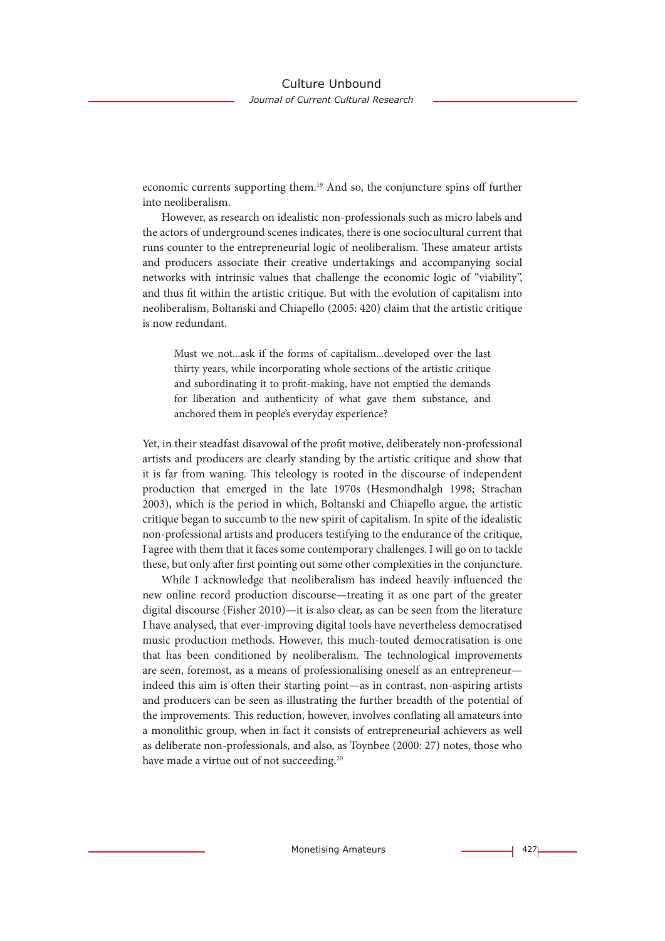economic currents supporting them.19 And so, the conjuncture spins off further into neoliberalism.

However, as research on idealistic non-professionals such as micro labels and the actors of underground scenes indicates, there is one sociocultural current that runs counter to the entrepreneurial logic of neoliberalism. These amateur artists and producers associate their creative undertakings and accompanying social networks with intrinsic values that challenge the economic logic of "viability", and thus fit within the artistic critique. But with the evolution of capitalism into neoliberalism, Boltanski and Chiapello (2005: 420) claim that the artistic critique is now redundant.

Must we not...ask if the forms of capitalism...developed over the last thirty years, while incorporating whole sections of the artistic critique and subordinating it to profit-making, have not emptied the demands for liberation and authenticity of what gave them substance, and anchored them in people's everyday experience?

Yet, in their steadfast disavowal of the profit motive, deliberately non-professional artists and producers are clearly standing by the artistic critique and show that it is far from waning. This teleology is rooted in the discourse of independent production that emerged in the late 1970s (Hesmondhalgh 1998; Strachan 2003), which is the period in which, Boltanski and Chiapello argue, the artistic critique began to succumb to the new spirit of capitalism. In spite of the idealistic non-professional artists and producers testifying to the endurance of the critique, I agree with them that it faces some contemporary challenges. I will go on to tackle these, but only after first pointing out some other complexities in the conjuncture.

While I acknowledge that neoliberalism has indeed heavily influenced the new online record production discourse—treating it as one part of the greater digital discourse (Fisher 2010)—it is also clear, as can be seen from the literature I have analysed, that ever-improving digital tools have nevertheless democratised music production methods. However, this much-touted democratisation is one that has been conditioned by neoliberalism. The technological improvements are seen, foremost, as a means of professionalising oneself as an entrepreneur indeed this aim is often their starting point—as in contrast, non-aspiring artists and producers can be seen as illustrating the further breadth of the potential of the improvements. This reduction, however, involves conflating all amateurs into a monolithic group, when in fact it consists of entrepreneurial achievers as well as deliberate non-professionals, and also, as Toynbee (2000: 27) notes, those who have made a virtue out of not succeeding.<sup>20</sup>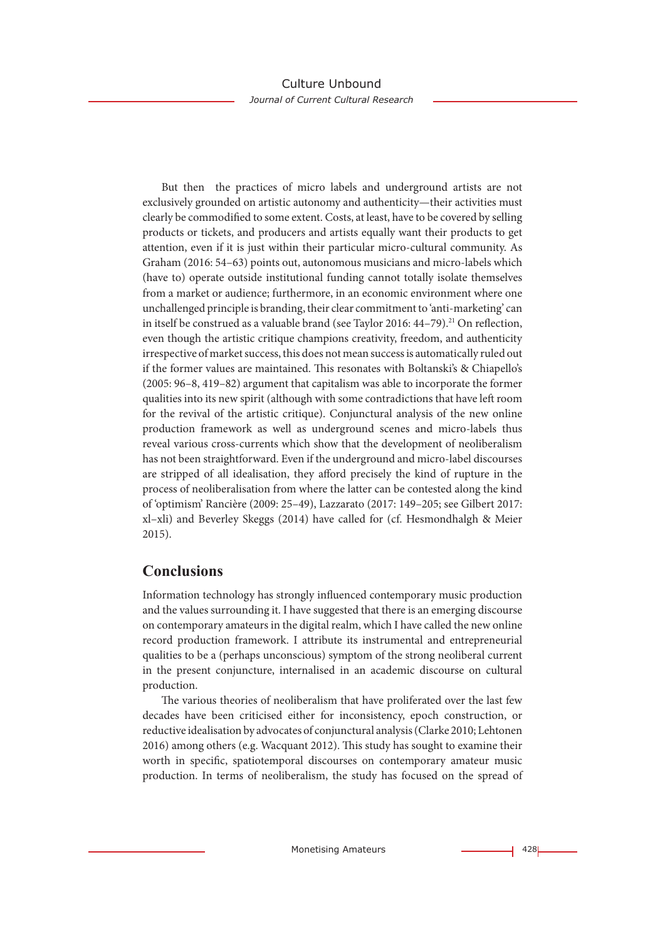But then the practices of micro labels and underground artists are not exclusively grounded on artistic autonomy and authenticity—their activities must clearly be commodified to some extent. Costs, at least, have to be covered by selling products or tickets, and producers and artists equally want their products to get attention, even if it is just within their particular micro-cultural community. As Graham (2016: 54–63) points out, autonomous musicians and micro-labels which (have to) operate outside institutional funding cannot totally isolate themselves from a market or audience; furthermore, in an economic environment where one unchallenged principle is branding, their clear commitment to 'anti-marketing' can in itself be construed as a valuable brand (see Taylor 2016:  $44-79$ ).<sup>21</sup> On reflection, even though the artistic critique champions creativity, freedom, and authenticity irrespective of market success, this does not mean success is automatically ruled out if the former values are maintained. This resonates with Boltanski's & Chiapello's (2005: 96–8, 419–82) argument that capitalism was able to incorporate the former qualities into its new spirit (although with some contradictions that have left room for the revival of the artistic critique). Conjunctural analysis of the new online production framework as well as underground scenes and micro-labels thus reveal various cross-currents which show that the development of neoliberalism has not been straightforward. Even if the underground and micro-label discourses are stripped of all idealisation, they afford precisely the kind of rupture in the process of neoliberalisation from where the latter can be contested along the kind of 'optimism' Rancière (2009: 25–49), Lazzarato (2017: 149–205; see Gilbert 2017: xl–xli) and Beverley Skeggs (2014) have called for (cf. Hesmondhalgh & Meier 2015).

### **Conclusions**

Information technology has strongly influenced contemporary music production and the values surrounding it. I have suggested that there is an emerging discourse on contemporary amateurs in the digital realm, which I have called the new online record production framework. I attribute its instrumental and entrepreneurial qualities to be a (perhaps unconscious) symptom of the strong neoliberal current in the present conjuncture, internalised in an academic discourse on cultural production.

The various theories of neoliberalism that have proliferated over the last few decades have been criticised either for inconsistency, epoch construction, or reductive idealisation by advocates of conjunctural analysis (Clarke 2010; Lehtonen 2016) among others (e.g. Wacquant 2012). This study has sought to examine their worth in specific, spatiotemporal discourses on contemporary amateur music production. In terms of neoliberalism, the study has focused on the spread of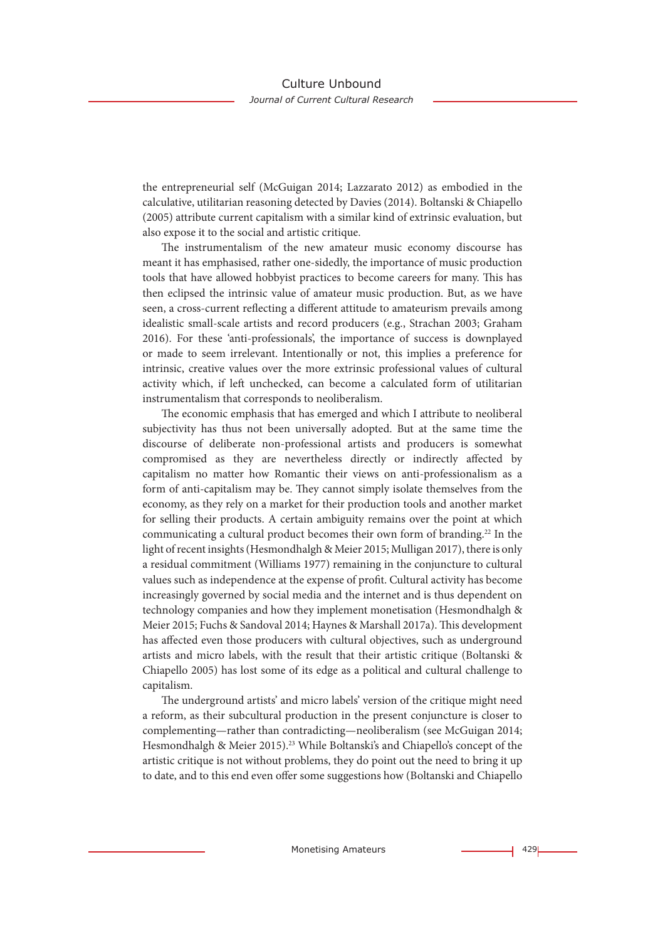the entrepreneurial self (McGuigan 2014; Lazzarato 2012) as embodied in the calculative, utilitarian reasoning detected by Davies (2014). Boltanski & Chiapello (2005) attribute current capitalism with a similar kind of extrinsic evaluation, but also expose it to the social and artistic critique.

The instrumentalism of the new amateur music economy discourse has meant it has emphasised, rather one-sidedly, the importance of music production tools that have allowed hobbyist practices to become careers for many. This has then eclipsed the intrinsic value of amateur music production. But, as we have seen, a cross-current reflecting a different attitude to amateurism prevails among idealistic small-scale artists and record producers (e.g., Strachan 2003; Graham 2016). For these 'anti-professionals', the importance of success is downplayed or made to seem irrelevant. Intentionally or not, this implies a preference for intrinsic, creative values over the more extrinsic professional values of cultural activity which, if left unchecked, can become a calculated form of utilitarian instrumentalism that corresponds to neoliberalism.

The economic emphasis that has emerged and which I attribute to neoliberal subjectivity has thus not been universally adopted. But at the same time the discourse of deliberate non-professional artists and producers is somewhat compromised as they are nevertheless directly or indirectly affected by capitalism no matter how Romantic their views on anti-professionalism as a form of anti-capitalism may be. They cannot simply isolate themselves from the economy, as they rely on a market for their production tools and another market for selling their products. A certain ambiguity remains over the point at which communicating a cultural product becomes their own form of branding.<sup>22</sup> In the light of recent insights (Hesmondhalgh & Meier 2015; Mulligan 2017), there is only a residual commitment (Williams 1977) remaining in the conjuncture to cultural values such as independence at the expense of profit. Cultural activity has become increasingly governed by social media and the internet and is thus dependent on technology companies and how they implement monetisation (Hesmondhalgh & Meier 2015; Fuchs & Sandoval 2014; Haynes & Marshall 2017a). This development has affected even those producers with cultural objectives, such as underground artists and micro labels, with the result that their artistic critique (Boltanski & Chiapello 2005) has lost some of its edge as a political and cultural challenge to capitalism.

The underground artists' and micro labels' version of the critique might need a reform, as their subcultural production in the present conjuncture is closer to complementing—rather than contradicting—neoliberalism (see McGuigan 2014; Hesmondhalgh & Meier 2015).<sup>23</sup> While Boltanski's and Chiapello's concept of the artistic critique is not without problems, they do point out the need to bring it up to date, and to this end even offer some suggestions how (Boltanski and Chiapello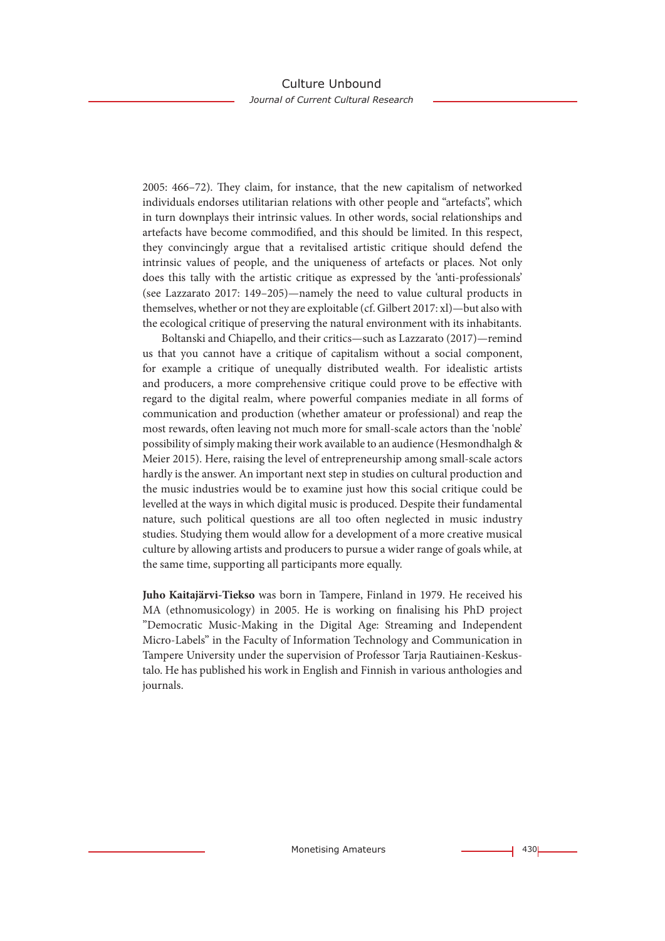2005: 466–72). They claim, for instance, that the new capitalism of networked individuals endorses utilitarian relations with other people and "artefacts", which in turn downplays their intrinsic values. In other words, social relationships and artefacts have become commodified, and this should be limited. In this respect, they convincingly argue that a revitalised artistic critique should defend the intrinsic values of people, and the uniqueness of artefacts or places. Not only does this tally with the artistic critique as expressed by the 'anti-professionals' (see Lazzarato 2017: 149–205)—namely the need to value cultural products in themselves, whether or not they are exploitable (cf. Gilbert 2017: xl)—but also with the ecological critique of preserving the natural environment with its inhabitants.

Boltanski and Chiapello, and their critics—such as Lazzarato (2017)—remind us that you cannot have a critique of capitalism without a social component, for example a critique of unequally distributed wealth. For idealistic artists and producers, a more comprehensive critique could prove to be effective with regard to the digital realm, where powerful companies mediate in all forms of communication and production (whether amateur or professional) and reap the most rewards, often leaving not much more for small-scale actors than the 'noble' possibility of simply making their work available to an audience (Hesmondhalgh & Meier 2015). Here, raising the level of entrepreneurship among small-scale actors hardly is the answer. An important next step in studies on cultural production and the music industries would be to examine just how this social critique could be levelled at the ways in which digital music is produced. Despite their fundamental nature, such political questions are all too often neglected in music industry studies. Studying them would allow for a development of a more creative musical culture by allowing artists and producers to pursue a wider range of goals while, at the same time, supporting all participants more equally.

**Juho Kaitajärvi-Tiekso** was born in Tampere, Finland in 1979. He received his MA (ethnomusicology) in 2005. He is working on finalising his PhD project "Democratic Music-Making in the Digital Age: Streaming and Independent Micro-Labels" in the Faculty of Information Technology and Communication in Tampere University under the supervision of Professor Tarja Rautiainen-Keskustalo. He has published his work in English and Finnish in various anthologies and journals.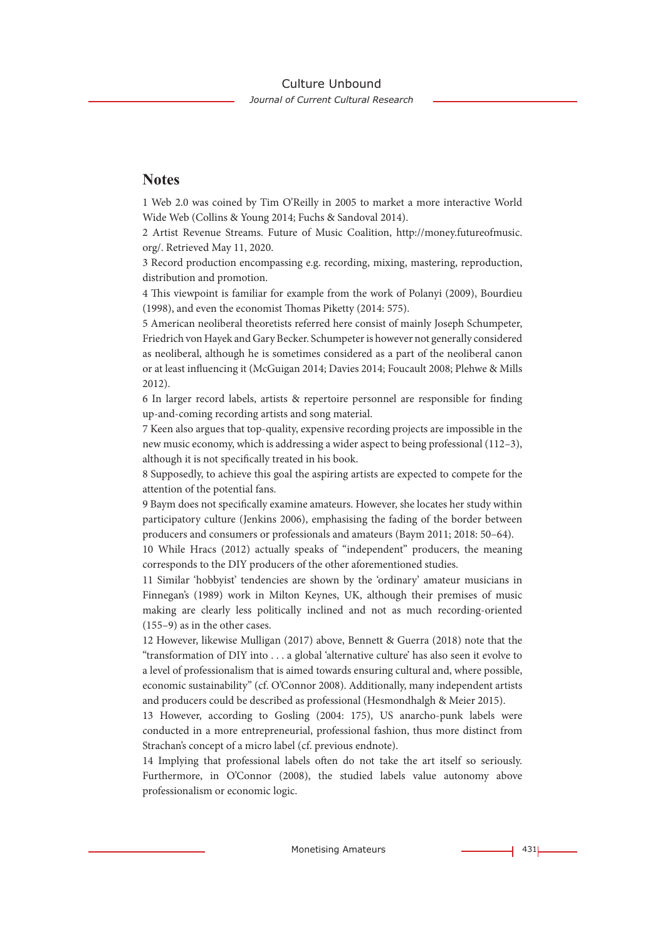### **Notes**

1 Web 2.0 was coined by Tim O'Reilly in 2005 to market a more interactive World Wide Web (Collins & Young 2014; Fuchs & Sandoval 2014).

2 Artist Revenue Streams. Future of Music Coalition, http://money.futureofmusic. org/. Retrieved May 11, 2020.

3 Record production encompassing e.g. recording, mixing, mastering, reproduction, distribution and promotion.

4 This viewpoint is familiar for example from the work of Polanyi (2009), Bourdieu (1998), and even the economist Thomas Piketty (2014: 575).

5 American neoliberal theoretists referred here consist of mainly Joseph Schumpeter, Friedrich von Hayek and Gary Becker. Schumpeter is however not generally considered as neoliberal, although he is sometimes considered as a part of the neoliberal canon or at least influencing it (McGuigan 2014; Davies 2014; Foucault 2008; Plehwe & Mills 2012).

6 In larger record labels, artists & repertoire personnel are responsible for finding up-and-coming recording artists and song material.

7 Keen also argues that top-quality, expensive recording projects are impossible in the new music economy, which is addressing a wider aspect to being professional (112–3), although it is not specifically treated in his book.

8 Supposedly, to achieve this goal the aspiring artists are expected to compete for the attention of the potential fans.

9 Baym does not specifically examine amateurs. However, she locates her study within participatory culture (Jenkins 2006), emphasising the fading of the border between producers and consumers or professionals and amateurs (Baym 2011; 2018: 50–64).

10 While Hracs (2012) actually speaks of "independent" producers, the meaning corresponds to the DIY producers of the other aforementioned studies.

11 Similar 'hobbyist' tendencies are shown by the 'ordinary' amateur musicians in Finnegan's (1989) work in Milton Keynes, UK, although their premises of music making are clearly less politically inclined and not as much recording-oriented (155–9) as in the other cases.

12 However, likewise Mulligan (2017) above, Bennett & Guerra (2018) note that the "transformation of DIY into . . . a global 'alternative culture' has also seen it evolve to a level of professionalism that is aimed towards ensuring cultural and, where possible, economic sustainability" (cf. O'Connor 2008). Additionally, many independent artists and producers could be described as professional (Hesmondhalgh & Meier 2015).

13 However, according to Gosling (2004: 175), US anarcho-punk labels were conducted in a more entrepreneurial, professional fashion, thus more distinct from Strachan's concept of a micro label (cf. previous endnote).

14 Implying that professional labels often do not take the art itself so seriously. Furthermore, in O'Connor (2008), the studied labels value autonomy above professionalism or economic logic.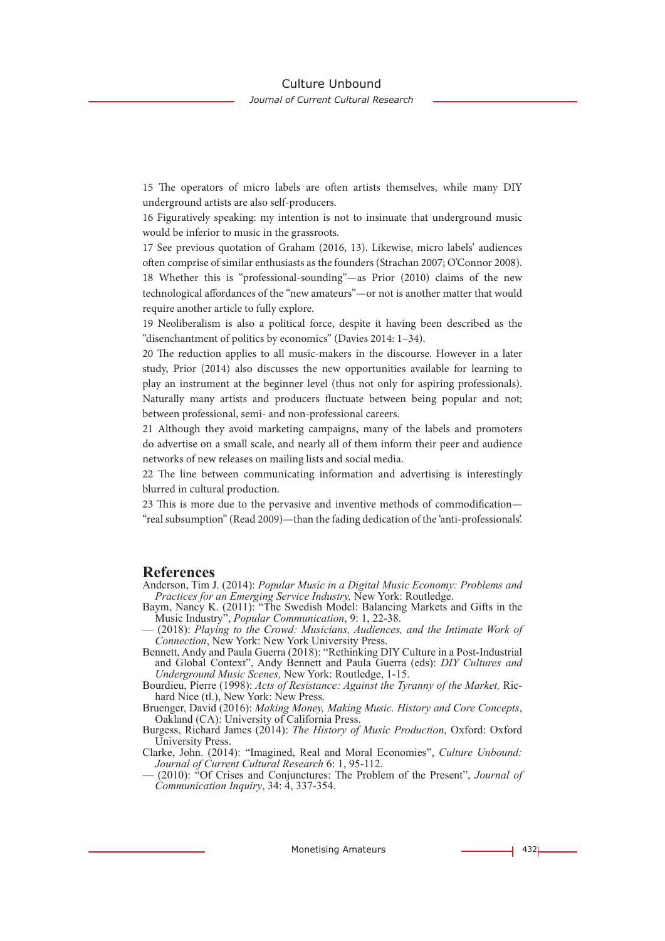15 The operators of micro labels are often artists themselves, while many DIY underground artists are also self-producers.

16 Figuratively speaking: my intention is not to insinuate that underground music would be inferior to music in the grassroots.

17 See previous quotation of Graham (2016, 13). Likewise, micro labels' audiences often comprise of similar enthusiasts as the founders (Strachan 2007; O'Connor 2008). 18 Whether this is "professional-sounding"—as Prior (2010) claims of the new technological affordances of the "new amateurs"—or not is another matter that would require another article to fully explore.

19 Neoliberalism is also a political force, despite it having been described as the "disenchantment of politics by economics" (Davies 2014: 1–34).

20 The reduction applies to all music-makers in the discourse. However in a later study, Prior (2014) also discusses the new opportunities available for learning to play an instrument at the beginner level (thus not only for aspiring professionals). Naturally many artists and producers fluctuate between being popular and not; between professional, semi- and non-professional careers.

21 Although they avoid marketing campaigns, many of the labels and promoters do advertise on a small scale, and nearly all of them inform their peer and audience networks of new releases on mailing lists and social media.

22 The line between communicating information and advertising is interestingly blurred in cultural production.

23 This is more due to the pervasive and inventive methods of commodification— "real subsumption" (Read 2009)—than the fading dedication of the 'anti-professionals'.

#### **References**

Anderson, Tim J. (2014): *Popular Music in a Digital Music Economy: Problems and Practices for an Emerging Service Industry,* New York: Routledge.

- Baym, Nancy K. (2011): "The Swedish Model: Balancing Markets and Gifts in the Music Industry", *Popular Communication*, 9: 1, 22-38.
- (2018): *Playing to the Crowd: Musicians, Audiences, and the Intimate Work of Connection*, New York: New York University Press.

Bennett, Andy and Paula Guerra (2018): "Rethinking DIY Culture in a Post-Industrial and Global Context", Andy Bennett and Paula Guerra (eds): *DIY Cultures and Underground Music Scenes,* New York: Routledge, 1-15.

Bourdieu, Pierre (1998): *Acts of Resistance: Against the Tyranny of the Market,* Ric- hard Nice (tl.), New York: New Press.

Bruenger, David (2016): *Making Money, Making Music. History and Core Concepts*, Oakland (CA): University of California Press.

Burgess, Richard James (2014): *The History of Music Production*, Oxford: Oxford University Press.

Clarke, John. (2014): "Imagined, Real and Moral Economies", *Culture Unbound: Journal of Current Cultural Research* 6: 1, 95-112.

— (2010): "Of Crises and Conjunctures: The Problem of the Present", *Journal of Communication Inquiry*, 34: 4, 337-354.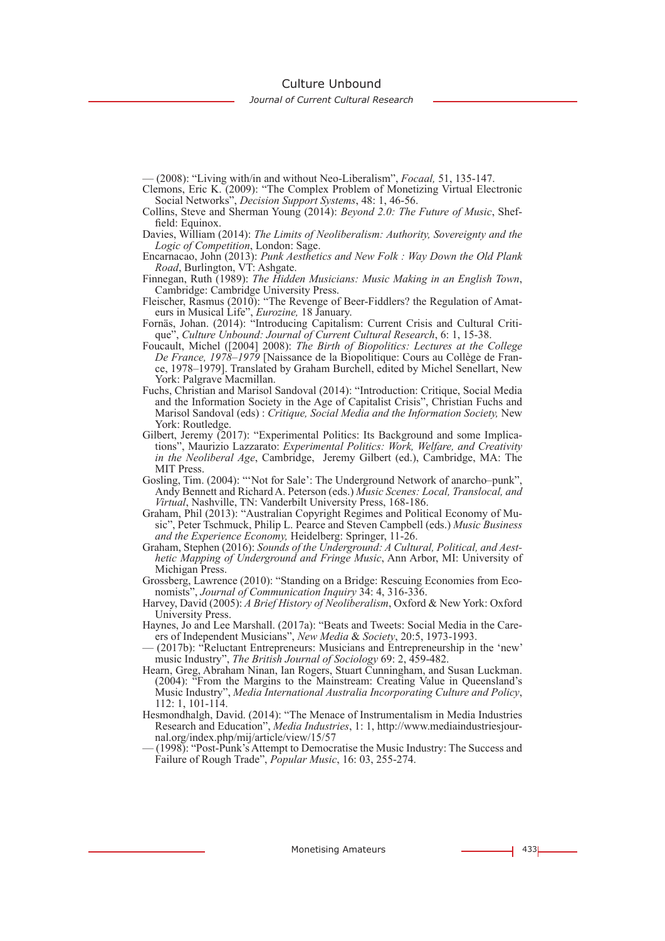Culture Unbound

*Journal of Current Cultural Research*

— (2008): "Living with/in and without Neo-Liberalism", *Focaal,* 51, 135-147.

- Clemons, Eric K. (2009): "The Complex Problem of Monetizing Virtual Electronic Social Networks", *Decision Support Systems*, 48: 1, 46-56.
- Collins, Steve and Sherman Young (2014): *Beyond 2.0: The Future of Music*, Sheffield: Equinox.
- Davies, William (2014): *The Limits of Neoliberalism: Authority, Sovereignty and the Logic of Competition*, London: Sage.
- Encarnacao, John (2013): *Punk Aesthetics and New Folk : Way Down the Old Plank Road*, Burlington, VT: Ashgate.
- Finnegan, Ruth (1989): *The Hidden Musicians: Music Making in an English Town*, Cambridge: Cambridge University Press.
- Fleischer, Rasmus (2010): "The Revenge of Beer-Fiddlers? the Regulation of Amateurs in Musical Life", *Eurozine,* 18 January.
- Fornäs, Johan. (2014): "Introducing Capitalism: Current Crisis and Cultural Critique", *Culture Unbound: Journal of Current Cultural Research*, 6: 1, 15-38.
- Foucault, Michel ([2004] 2008): *The Birth of Biopolitics: Lectures at the College De France, 1978–1979* [Naissance de la Biopolitique: Cours au Collège de France, 1978–1979]. Translated by Graham Burchell, edited by Michel Senellart, New York: Palgrave Macmillan.
- Fuchs, Christian and Marisol Sandoval (2014): "Introduction: Critique, Social Media and the Information Society in the Age of Capitalist Crisis", Christian Fuchs and Marisol Sandoval (eds) : *Critique, Social Media and the Information Society,* New York: Routledge.
- Gilbert, Jeremy (2017): "Experimental Politics: Its Background and some Implications", Maurizio Lazzarato: *Experimental Politics: Work, Welfare, and Creativity in the Neoliberal Age*, Cambridge, Jeremy Gilbert (ed.), Cambridge, MA: The MIT Press.
- Gosling, Tim. (2004): "'Not for Sale': The Underground Network of anarcho–punk", Andy Bennett and Richard A. Peterson (eds.) *Music Scenes: Local, Translocal, and Virtual*, Nashville, TN: Vanderbilt University Press, 168-186.
- Graham, Phil (2013): "Australian Copyright Regimes and Political Economy of Music", Peter Tschmuck, Philip L. Pearce and Steven Campbell (eds.) *Music Business and the Experience Economy,* Heidelberg: Springer, 11-26.
- Graham, Stephen (2016): *Sounds of the Underground: A Cultural, Political, and Aesthetic Mapping of Underground and Fringe Music*, Ann Arbor, MI: University of Michigan Press.
- Grossberg, Lawrence (2010): "Standing on a Bridge: Rescuing Economies from Economists", *Journal of Communication Inquiry* 34: 4, 316-336.
- Harvey, David (2005): *A Brief History of Neoliberalism*, Oxford & New York: Oxford University Press.
- Haynes, Jo and Lee Marshall. (2017a): "Beats and Tweets: Social Media in the Careers of Independent Musicians", *New Media* & *Society*, 20:5, 1973-1993.
- (2017b): "Reluctant Entrepreneurs: Musicians and Entrepreneurship in the 'new' music Industry", *The British Journal of Sociology* 69: 2, 459-482.
- Hearn, Greg, Abraham Ninan, Ian Rogers, Stuart Cunningham, and Susan Luckman. (2004): "From the Margins to the Mainstream: Creating Value in Queensland's Music Industry", *Media International Australia Incorporating Culture and Policy*, 112: 1, 101-114.
- Hesmondhalgh, David. (2014): "The Menace of Instrumentalism in Media Industries Research and Education", *Media Industries*, 1: 1, http://www.mediaindustriesjournal.org/index.php/mij/article/view/15/57
- (1998): "Post-Punk's Attempt to Democratise the Music Industry: The Success and Failure of Rough Trade", *Popular Music*, 16: 03, 255-274.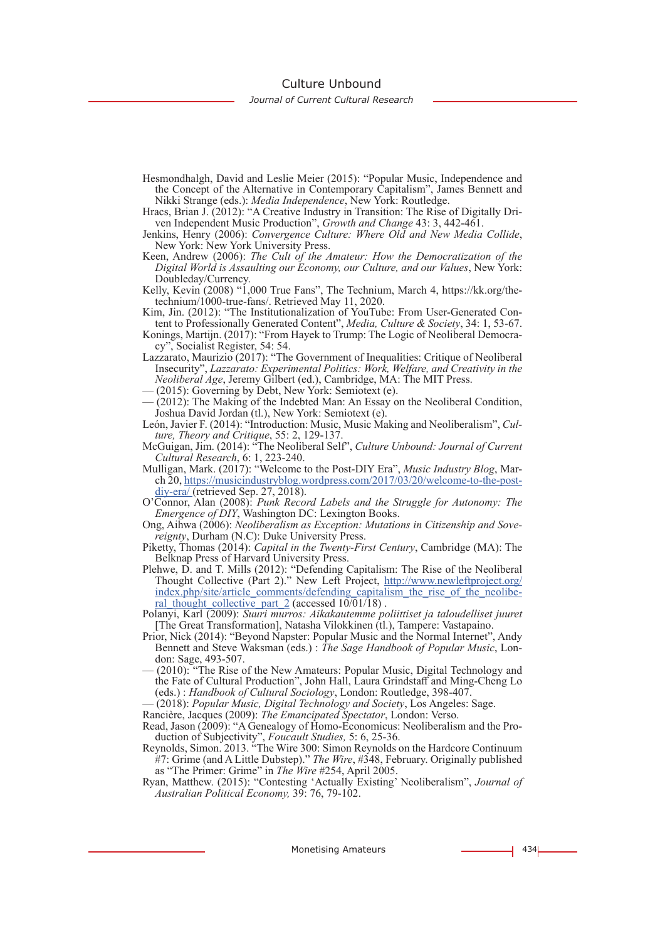Culture Unbound

*Journal of Current Cultural Research*

- Hesmondhalgh, David and Leslie Meier (2015): "Popular Music, Independence and the Concept of the Alternative in Contemporary Capitalism", James Bennett and Nikki Strange (eds.): *Media Independence*, New York: Routledge.
- Hracs, Brian J. (2012): "A Creative Industry in Transition: The Rise of Digitally Driven Independent Music Production", *Growth and Change* 43: 3, 442-461.
- Jenkins, Henry (2006): *Convergence Culture: Where Old and New Media Collide*, New York: New York University Press.
- Keen, Andrew (2006): *The Cult of the Amateur: How the Democratization of the Digital World is Assaulting our Economy, our Culture, and our Values*, New York: Doubleday/Currency.
- Kelly, Kevin (2008) "1,000 True Fans", The Technium, March 4, https://kk.org/thetechnium/1000-true-fans/. Retrieved May 11, 2020.
- Kim, Jin. (2012): "The Institutionalization of YouTube: From User-Generated Content to Professionally Generated Content", *Media, Culture & Society*, 34: 1, 53-67.
- Konings, Martijn. (2017): "From Hayek to Trump: The Logic of Neoliberal Democracy", Socialist Register, 54: 54.
- Lazzarato, Maurizio (2017): "The Government of Inequalities: Critique of Neoliberal Insecurity", *Lazzarato: Experimental Politics: Work, Welfare, and Creativity in the Neoliberal Age*, Jeremy Gilbert (ed.), Cambridge, MA: The MIT Press.
- (2015): Governing by Debt, New York: Semiotext (e).
- (2012): The Making of the Indebted Man: An Essay on the Neoliberal Condition, Joshua David Jordan (tl.), New York: Semiotext (e).
- León, Javier F. (2014): "Introduction: Music, Music Making and Neoliberalism", *Cul- ture, Theory and Critique*, 55: 2, 129-137.
- McGuigan, Jim. (2014): "The Neoliberal Self", *Culture Unbound: Journal of Current Cultural Research*, 6: 1, 223-240.
- Mulligan, Mark. (2017): "Welcome to the Post-DIY Era", *Music Industry Blog*, Mar- ch 20, https://musicindustryblog.wordpress.com/2017/03/20/welcome-to-the-postdiy-era/ (retrieved Sep. 27, 2018).
- O'Connor, Alan (2008): *Punk Record Labels and the Struggle for Autonomy: The Emergence of DIY*, Washington DC: Lexington Books.
- Ong, Aihwa (2006): *Neoliberalism as Exception: Mutations in Citizenship and Sove- reignty*, Durham (N.C): Duke University Press.
- Piketty, Thomas (2014): *Capital in the Twenty-First Century*, Cambridge (MA): The Belknap Press of Harvard University Press.
- Plehwe, D. and T. Mills (2012): "Defending Capitalism: The Rise of the Neoliberal Thought Collective (Part 2)." New Left Project, http://www.newleftproject.org/ index.php/site/article\_comments/defending\_capitalism\_the\_rise\_of\_the\_neolibe-<br>ral\_thought\_collective\_part\_2 (accessed 10/01/18) .
- Polanyi, Karl (2009): *Suuri murros: Aikakautemme poliittiset ja taloudelliset juuret*  [The Great Transformation], Natasha Vilokkinen (tl.), Tampere: Vastapaino.
- Prior, Nick (2014): "Beyond Napster: Popular Music and the Normal Internet", Andy Bennett and Steve Waksman (eds.) : *The Sage Handbook of Popular Music*, Lon- don: Sage, 493-507.
- (2010): "The Rise of the New Amateurs: Popular Music, Digital Technology and the Fate of Cultural Production", John Hall, Laura Grindstaff and Ming-Cheng Lo (eds.) : *Handbook of Cultural Sociology*, London: Routledge, 398-407.
- (2018): *Popular Music, Digital Technology and Society*, Los Angeles: Sage.
- Rancière, Jacques (2009): *The Emancipated Spectator*, London: Verso.
- Read, Jason (2009): "A Genealogy of Homo-Economicus: Neoliberalism and the Production of Subjectivity", *Foucault Studies,* 5: 6, 25-36.
- Reynolds, Simon. 2013. "The Wire 300: Simon Reynolds on the Hardcore Continuum #7: Grime (and A Little Dubstep)." *The Wire*, #348, February. Originally published as "The Primer: Grime" in *The Wire* #254, April 2005.
- Ryan, Matthew. (2015): "Contesting 'Actually Existing' Neoliberalism", *Journal of Australian Political Economy,* 39: 76, 79-102.